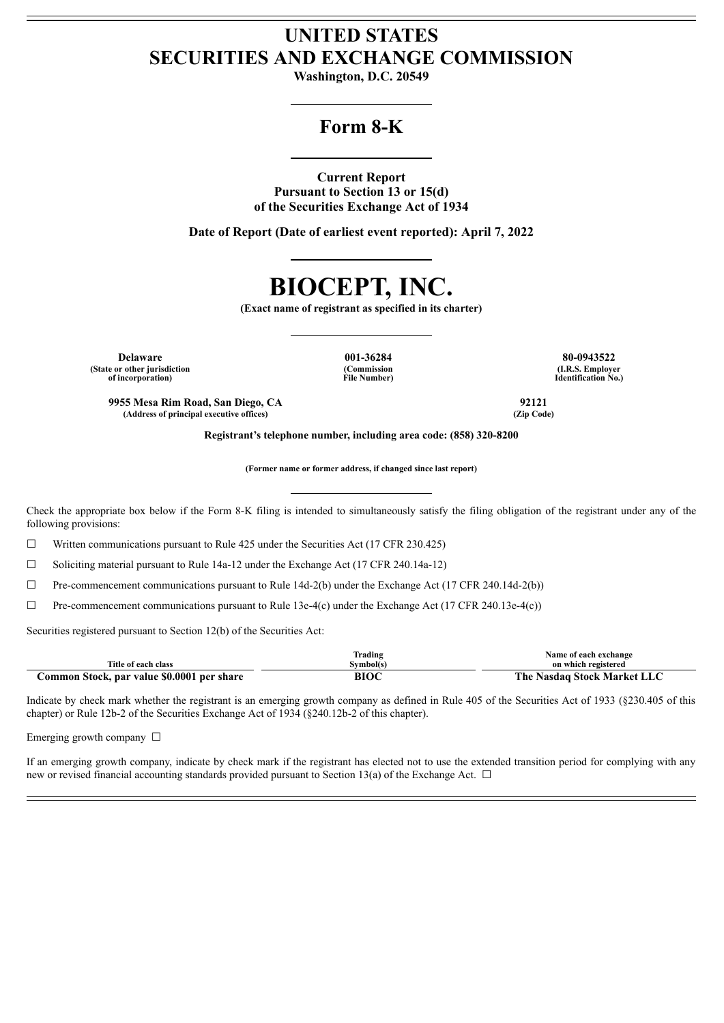## **UNITED STATES SECURITIES AND EXCHANGE COMMISSION**

**Washington, D.C. 20549**

### **Form 8-K**

**Current Report**

**Pursuant to Section 13 or 15(d) of the Securities Exchange Act of 1934**

**Date of Report (Date of earliest event reported): April 7, 2022**

# **BIOCEPT, INC.**

**(Exact name of registrant as specified in its charter)**

**Delaware 001-36284 80-0943522 (State or other jurisdiction of incorporation)**

**(Commission File Number)**

**(I.R.S. Employer Identification No.)**

**9955 Mesa Rim Road, San Diego, CA 92121 (Address of principal executive offices) (Zip Code)**

**Registrant's telephone number, including area code: (858) 320-8200**

**(Former name or former address, if changed since last report)**

Check the appropriate box below if the Form 8-K filing is intended to simultaneously satisfy the filing obligation of the registrant under any of the following provisions:

 $\Box$  Written communications pursuant to Rule 425 under the Securities Act (17 CFR 230.425)

☐ Soliciting material pursuant to Rule 14a-12 under the Exchange Act (17 CFR 240.14a-12)

 $\Box$  Pre-commencement communications pursuant to Rule 14d-2(b) under the Exchange Act (17 CFR 240.14d-2(b))

 $\Box$  Pre-commencement communications pursuant to Rule 13e-4(c) under the Exchange Act (17 CFR 240.13e-4(c))

Securities registered pursuant to Section 12(b) of the Securities Act:

|                                            | rading   | Name of each exchange             |
|--------------------------------------------|----------|-----------------------------------|
| Title of each class                        | √vmbol(s | on which registered               |
| Common Stock, par value \$0.0001 per share | m        | : Nasdag Stock Market LI<br>The . |

Indicate by check mark whether the registrant is an emerging growth company as defined in Rule 405 of the Securities Act of 1933 (§230.405 of this chapter) or Rule 12b-2 of the Securities Exchange Act of 1934 (§240.12b-2 of this chapter).

Emerging growth company  $\Box$ 

If an emerging growth company, indicate by check mark if the registrant has elected not to use the extended transition period for complying with any new or revised financial accounting standards provided pursuant to Section 13(a) of the Exchange Act.  $\Box$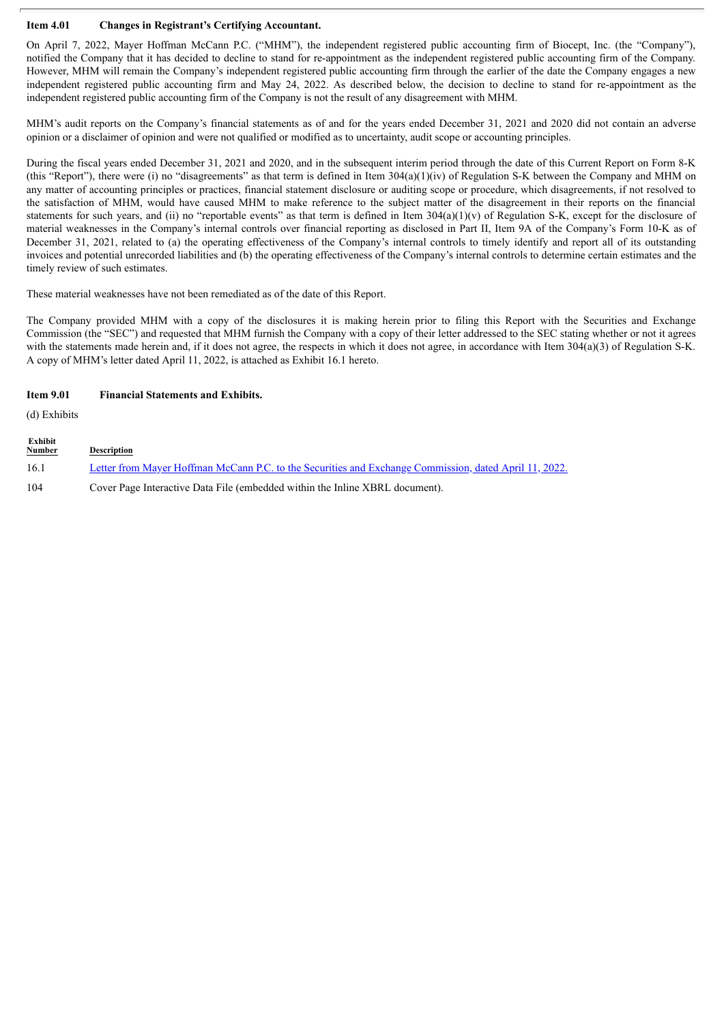### **Item 4.01 Changes in Registrant's Certifying Accountant.**

On April 7, 2022, Mayer Hoffman McCann P.C. ("MHM"), the independent registered public accounting firm of Biocept, Inc. (the "Company"), notified the Company that it has decided to decline to stand for re-appointment as the independent registered public accounting firm of the Company. However, MHM will remain the Company's independent registered public accounting firm through the earlier of the date the Company engages a new independent registered public accounting firm and May 24, 2022. As described below, the decision to decline to stand for re-appointment as the independent registered public accounting firm of the Company is not the result of any disagreement with MHM.

MHM's audit reports on the Company's financial statements as of and for the years ended December 31, 2021 and 2020 did not contain an adverse opinion or a disclaimer of opinion and were not qualified or modified as to uncertainty, audit scope or accounting principles.

During the fiscal years ended December 31, 2021 and 2020, and in the subsequent interim period through the date of this Current Report on Form 8-K (this "Report"), there were (i) no "disagreements" as that term is defined in Item  $304(a)(1)(iv)$  of Regulation S-K between the Company and MHM on any matter of accounting principles or practices, financial statement disclosure or auditing scope or procedure, which disagreements, if not resolved to the satisfaction of MHM, would have caused MHM to make reference to the subject matter of the disagreement in their reports on the financial statements for such years, and (ii) no "reportable events" as that term is defined in Item  $304(a)(1)(v)$  of Regulation S-K, except for the disclosure of material weaknesses in the Company's internal controls over financial reporting as disclosed in Part II, Item 9A of the Company's Form 10-K as of December 31, 2021, related to (a) the operating effectiveness of the Company's internal controls to timely identify and report all of its outstanding invoices and potential unrecorded liabilities and (b) the operating effectiveness of the Company's internal controls to determine certain estimates and the timely review of such estimates.

These material weaknesses have not been remediated as of the date of this Report.

The Company provided MHM with a copy of the disclosures it is making herein prior to filing this Report with the Securities and Exchange Commission (the "SEC") and requested that MHM furnish the Company with a copy of their letter addressed to the SEC stating whether or not it agrees with the statements made herein and, if it does not agree, the respects in which it does not agree, in accordance with Item 304(a)(3) of Regulation S-K. A copy of MHM's letter dated April 11, 2022, is attached as Exhibit 16.1 hereto.

### **Item 9.01 Financial Statements and Exhibits.**

(d) Exhibits

**Exhibit Description** 16.1 Letter from Mayer Hoffman McCann P.C. to the Securities and Exchange [Commission,](#page-3-0) dated April 11, 2022. 104 Cover Page Interactive Data File (embedded within the Inline XBRL document).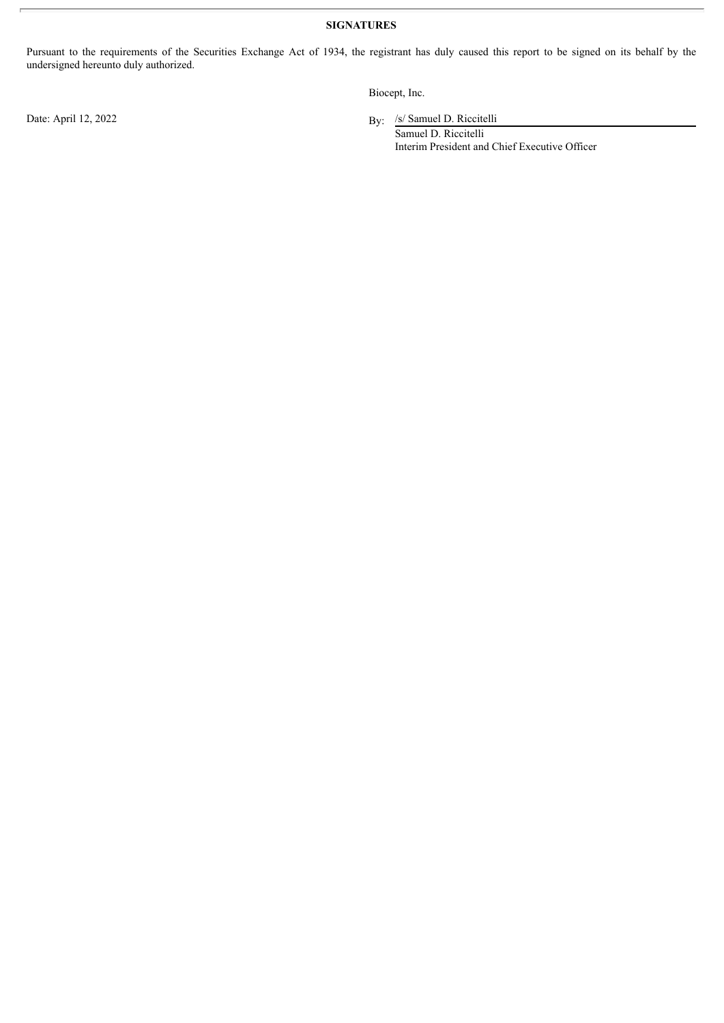**SIGNATURES**

Pursuant to the requirements of the Securities Exchange Act of 1934, the registrant has duly caused this report to be signed on its behalf by the undersigned hereunto duly authorized.

Biocept, Inc.

By: /s/ Samuel D. Riccitelli

Samuel D. Riccitelli Interim President and Chief Executive Officer

Date: April 12, 2022